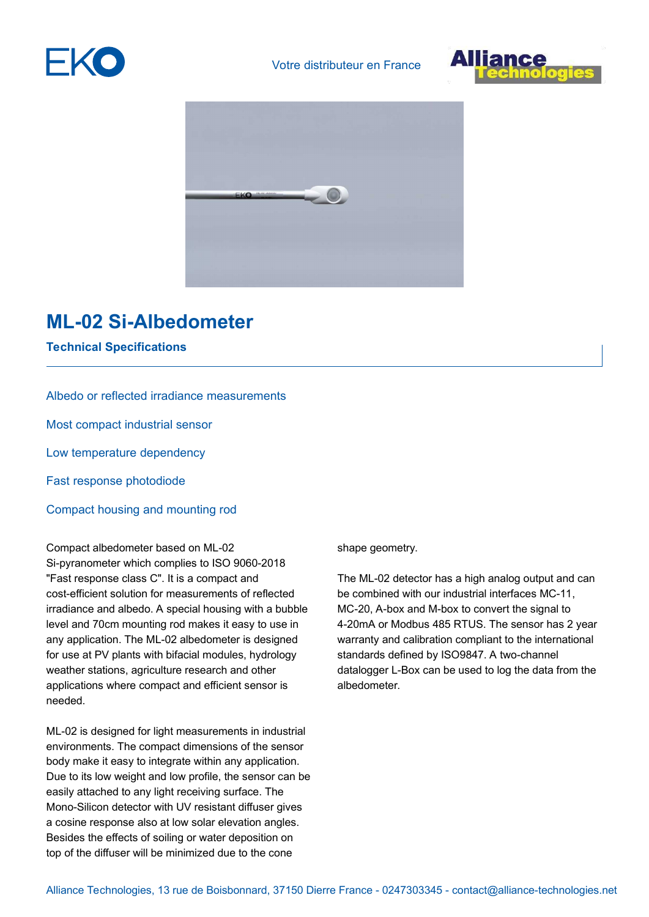





## **ML-02 Si-Albedometer**

**Technical Specifications**

Albedo or reflected irradiance measurements Most compact industrial sensor Low temperature dependency Fast response photodiode Compact housing and mounting rod

Compact albedometer based on ML-02 Si-pyranometer which complies to ISO 9060-2018 "Fast response class C". It is a compact and cost-efficient solution for measurements of reflected irradiance and albedo. A special housing with a bubble level and 70cm mounting rod makes it easy to use in any application. The ML-02 albedometer is designed for use at PV plants with bifacial modules, hydrology weather stations, agriculture research and other applications where compact and efficient sensor is needed.

ML-02 is designed for light measurements in industrial environments. The compact dimensions of the sensor body make it easy to integrate within any application. Due to its low weight and low profile, the sensor can be easily attached to any light receiving surface. The Mono-Silicon detector with UV resistant diffuser gives a cosine response also at low solar elevation angles. Besides the effects of soiling or water deposition on top of the diffuser will be minimized due to the cone

shape geometry.

The ML-02 detector has a high analog output and can be combined with our industrial interfaces MC-11, MC-20, A-box and M-box to convert the signal to 4-20mA or Modbus 485 RTUS. The sensor has 2 year warranty and calibration compliant to the international standards defined by ISO9847. A two-channel datalogger L-Box can be used to log the data from the albedometer.